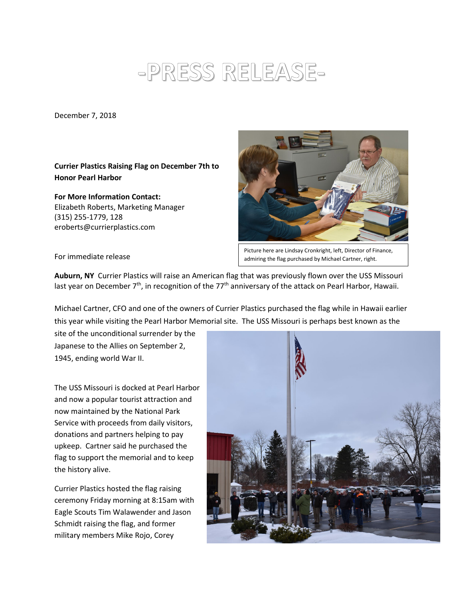## **-PRESS RELEASE-**

December 7, 2018

**Currier Plastics Raising Flag on December 7th to Honor Pearl Harbor** 

**For More Information Contact:** Elizabeth Roberts, Marketing Manager (315) 255-1779, 128 eroberts@currierplastics.com



Picture here are Lindsay Cronkright, left, Director of Finance, admiring the flag purchased by Michael Cartner, right.

For immediate release

**Auburn, NY** Currier Plastics will raise an American flag that was previously flown over the USS Missouri last year on December  $7<sup>th</sup>$ , in recognition of the  $77<sup>th</sup>$  anniversary of the attack on Pearl Harbor, Hawaii.

Michael Cartner, CFO and one of the owners of Currier Plastics purchased the flag while in Hawaii earlier this year while visiting the Pearl Harbor Memorial site. The USS Missouri is perhaps best known as the

site of the unconditional surrender by the Japanese to the Allies on September 2, 1945, ending world War II.

The USS Missouri is docked at Pearl Harbor and now a popular tourist attraction and now maintained by the National Park Service with proceeds from daily visitors, donations and partners helping to pay upkeep. Cartner said he purchased the flag to support the memorial and to keep the history alive.

Currier Plastics hosted the flag raising ceremony Friday morning at 8:15am with Eagle Scouts Tim Walawender and Jason Schmidt raising the flag, and former military members Mike Rojo, Corey